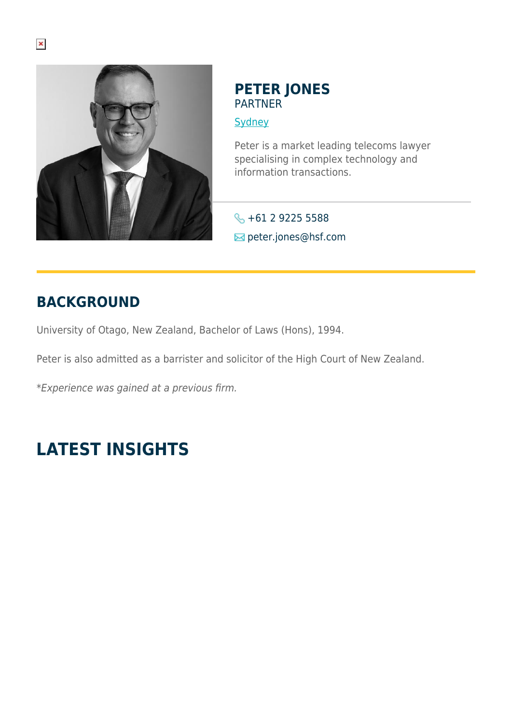

### **PETER JONES** PARTNER

**[Sydney](https://www.herbertsmithfreehills.com/where-we-work/sydney)** 

Peter is a market leading telecoms lawyer specialising in complex technology and information transactions.

**6** +61 2 9225 5588  $⊠$  peter.jones@hsf.com

# **BACKGROUND**

University of Otago, New Zealand, Bachelor of Laws (Hons), 1994.

Peter is also admitted as a barrister and solicitor of the High Court of New Zealand.

\*Experience was gained at a previous firm.

# **LATEST INSIGHTS**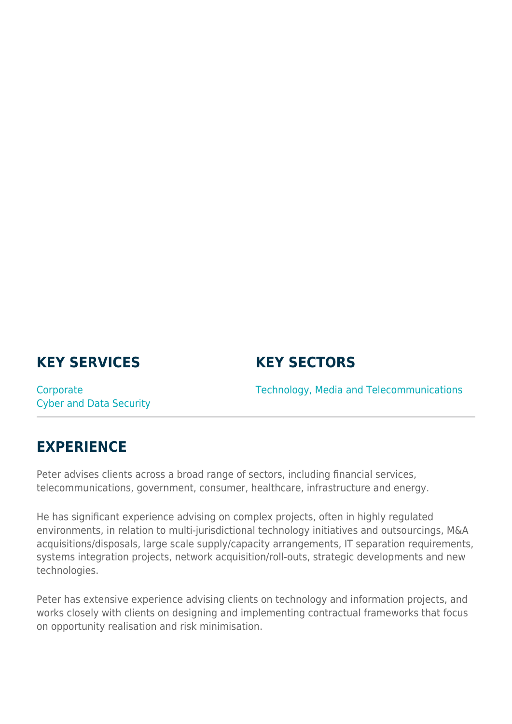## **KEY SERVICES**

#### **KEY SECTORS**

**Corporate** Cyber and Data Security Technology, Media and Telecommunications

#### **EXPERIENCE**

Peter advises clients across a broad range of sectors, including financial services, telecommunications, government, consumer, healthcare, infrastructure and energy.

He has significant experience advising on complex projects, often in highly regulated environments, in relation to multi-jurisdictional technology initiatives and outsourcings, M&A acquisitions/disposals, large scale supply/capacity arrangements, IT separation requirements, systems integration projects, network acquisition/roll-outs, strategic developments and new technologies.

Peter has extensive experience advising clients on technology and information projects, and works closely with clients on designing and implementing contractual frameworks that focus on opportunity realisation and risk minimisation.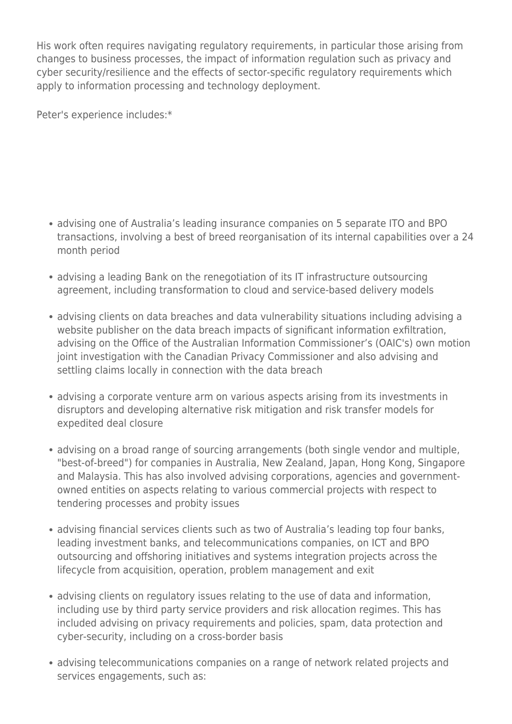His work often requires navigating regulatory requirements, in particular those arising from changes to business processes, the impact of information regulation such as privacy and cyber security/resilience and the effects of sector-specific regulatory requirements which apply to information processing and technology deployment.

Peter's experience includes:\*

- advising one of Australia's leading insurance companies on 5 separate ITO and BPO transactions, involving a best of breed reorganisation of its internal capabilities over a 24 month period
- advising a leading Bank on the renegotiation of its IT infrastructure outsourcing agreement, including transformation to cloud and service-based delivery models
- advising clients on data breaches and data vulnerability situations including advising a website publisher on the data breach impacts of significant information exfiltration, advising on the Office of the Australian Information Commissioner's (OAIC's) own motion joint investigation with the Canadian Privacy Commissioner and also advising and settling claims locally in connection with the data breach
- advising a corporate venture arm on various aspects arising from its investments in disruptors and developing alternative risk mitigation and risk transfer models for expedited deal closure
- advising on a broad range of sourcing arrangements (both single vendor and multiple, "best-of-breed") for companies in Australia, New Zealand, Japan, Hong Kong, Singapore and Malaysia. This has also involved advising corporations, agencies and governmentowned entities on aspects relating to various commercial projects with respect to tendering processes and probity issues
- advising financial services clients such as two of Australia's leading top four banks, leading investment banks, and telecommunications companies, on ICT and BPO outsourcing and offshoring initiatives and systems integration projects across the lifecycle from acquisition, operation, problem management and exit
- advising clients on regulatory issues relating to the use of data and information, including use by third party service providers and risk allocation regimes. This has included advising on privacy requirements and policies, spam, data protection and cyber-security, including on a cross-border basis
- advising telecommunications companies on a range of network related projects and services engagements, such as: